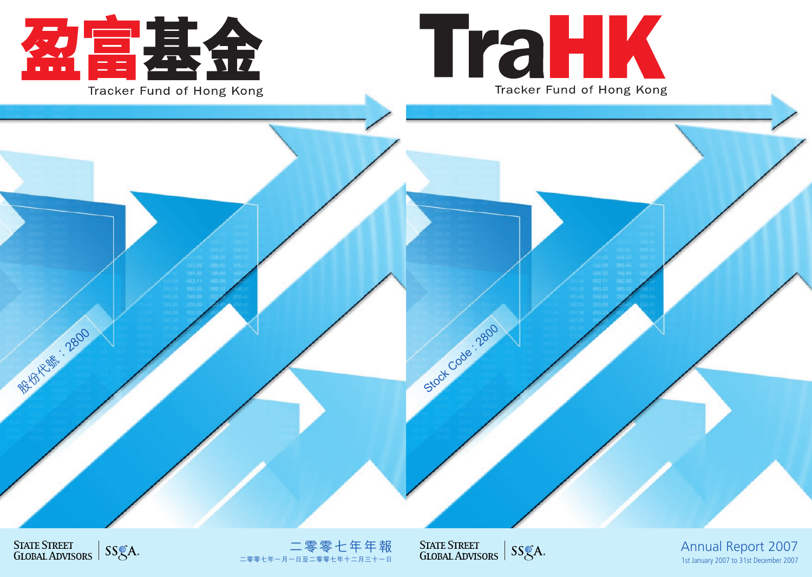



STATE STREET<br>GLOBAL ADVISORS SS&A.



Annual Report 2007 1st January 2007 to 31st December 2007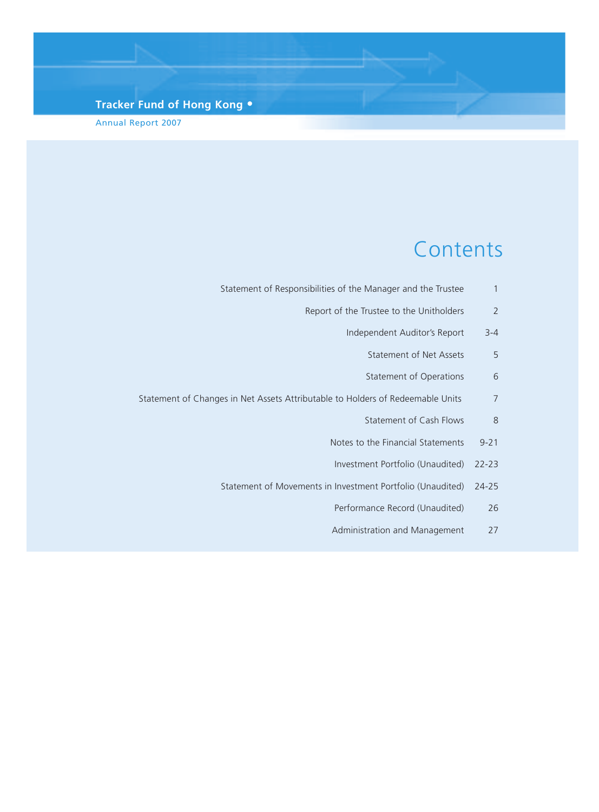Annual Report 2007

# **Contents**

- Statement of Responsibilities of the Manager and the Trustee 1
	- Report of the Trustee to the Unitholders 2
		- Independent Auditor's Report 3-4
			- Statement of Net Assets 5
			- Statement of Operations 6
- Statement of Changes in Net Assets Attributable to Holders of Redeemable Units 7
	- Statement of Cash Flows 8
	- Notes to the Financial Statements 9-21
	- Investment Portfolio (Unaudited) 22-23
	- Statement of Movements in Investment Portfolio (Unaudited) 24-25
		- Performance Record (Unaudited) 26
		- Administration and Management 27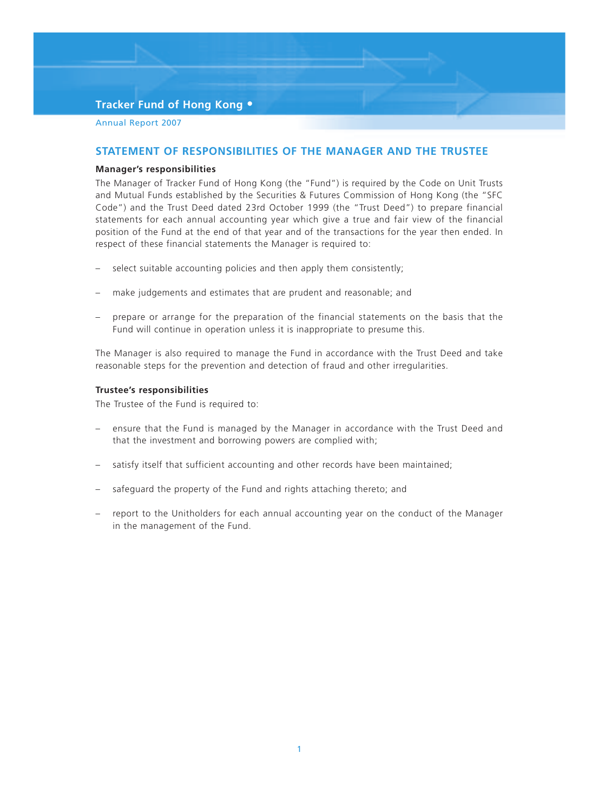## Annual Report 2007

## **STATEMENT OF RESPONSIBILITIES OF THE MANAGER AND THE TRUSTEE**

## **Manager's responsibilities**

The Manager of Tracker Fund of Hong Kong (the "Fund") is required by the Code on Unit Trusts and Mutual Funds established by the Securities & Futures Commission of Hong Kong (the "SFC Code") and the Trust Deed dated 23rd October 1999 (the "Trust Deed") to prepare financial statements for each annual accounting year which give a true and fair view of the financial position of the Fund at the end of that year and of the transactions for the year then ended. In respect of these financial statements the Manager is required to:

- select suitable accounting policies and then apply them consistently;
- make judgements and estimates that are prudent and reasonable; and
- prepare or arrange for the preparation of the financial statements on the basis that the Fund will continue in operation unless it is inappropriate to presume this.

The Manager is also required to manage the Fund in accordance with the Trust Deed and take reasonable steps for the prevention and detection of fraud and other irregularities.

## **Trustee's responsibilities**

The Trustee of the Fund is required to:

- ensure that the Fund is managed by the Manager in accordance with the Trust Deed and that the investment and borrowing powers are complied with;
- satisfy itself that sufficient accounting and other records have been maintained;
- safeguard the property of the Fund and rights attaching thereto; and
- report to the Unitholders for each annual accounting year on the conduct of the Manager in the management of the Fund.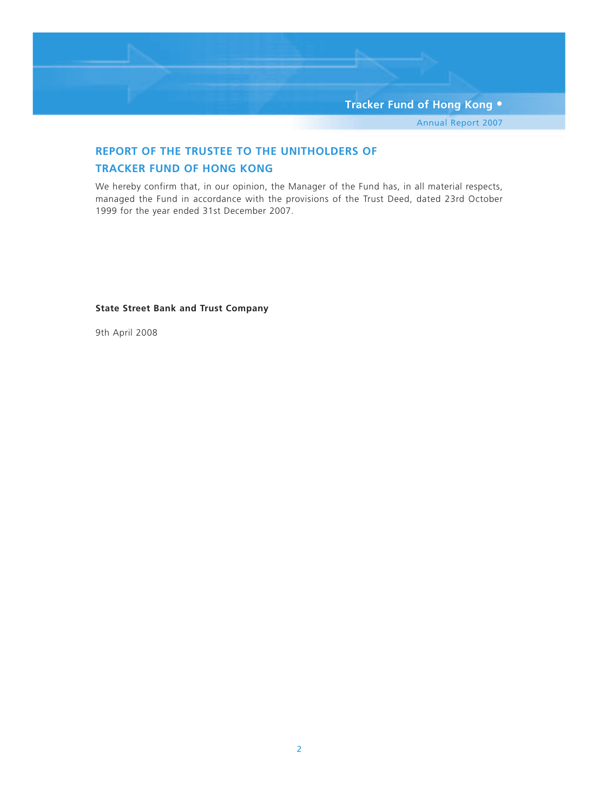Annual Report 2007

# **REPORT OF THE TRUSTEE TO THE UNITHOLDERS OF TRACKER FUND OF HONG KONG**

We hereby confirm that, in our opinion, the Manager of the Fund has, in all material respects, managed the Fund in accordance with the provisions of the Trust Deed, dated 23rd October 1999 for the year ended 31st December 2007.

## **State Street Bank and Trust Company**

9th April 2008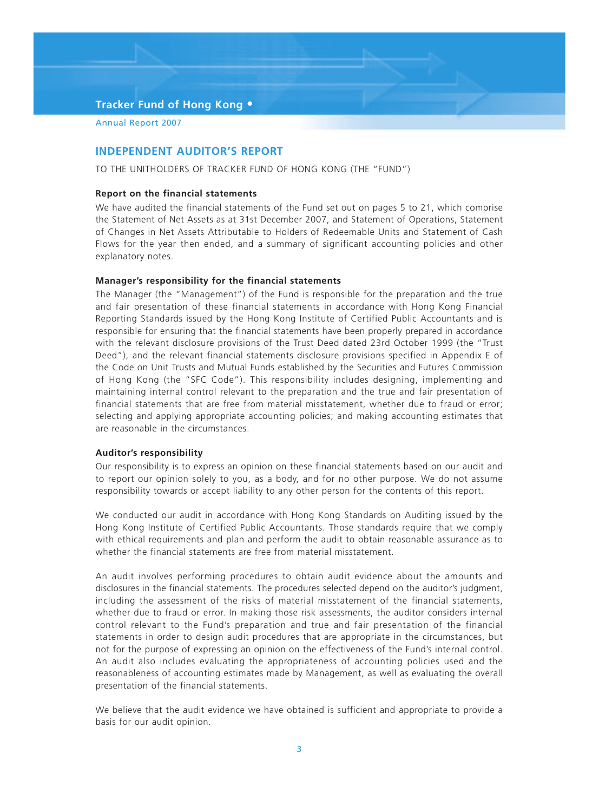## Annual Report 2007

## **INDEPENDENT AUDITOR'S REPORT**

TO THE UNITHOLDERS OF TRACKER FUND OF HONG KONG (THE "FUND")

## **Report on the financial statements**

We have audited the financial statements of the Fund set out on pages 5 to 21, which comprise the Statement of Net Assets as at 31st December 2007, and Statement of Operations, Statement of Changes in Net Assets Attributable to Holders of Redeemable Units and Statement of Cash Flows for the year then ended, and a summary of significant accounting policies and other explanatory notes.

## **Manager's responsibility for the financial statements**

The Manager (the "Management") of the Fund is responsible for the preparation and the true and fair presentation of these financial statements in accordance with Hong Kong Financial Reporting Standards issued by the Hong Kong Institute of Certified Public Accountants and is responsible for ensuring that the financial statements have been properly prepared in accordance with the relevant disclosure provisions of the Trust Deed dated 23rd October 1999 (the "Trust Deed"), and the relevant financial statements disclosure provisions specified in Appendix E of the Code on Unit Trusts and Mutual Funds established by the Securities and Futures Commission of Hong Kong (the "SFC Code"). This responsibility includes designing, implementing and maintaining internal control relevant to the preparation and the true and fair presentation of financial statements that are free from material misstatement, whether due to fraud or error; selecting and applying appropriate accounting policies; and making accounting estimates that are reasonable in the circumstances.

## **Auditor's responsibility**

Our responsibility is to express an opinion on these financial statements based on our audit and to report our opinion solely to you, as a body, and for no other purpose. We do not assume responsibility towards or accept liability to any other person for the contents of this report.

We conducted our audit in accordance with Hong Kong Standards on Auditing issued by the Hong Kong Institute of Certified Public Accountants. Those standards require that we comply with ethical requirements and plan and perform the audit to obtain reasonable assurance as to whether the financial statements are free from material misstatement.

An audit involves performing procedures to obtain audit evidence about the amounts and disclosures in the financial statements. The procedures selected depend on the auditor's judgment, including the assessment of the risks of material misstatement of the financial statements, whether due to fraud or error. In making those risk assessments, the auditor considers internal control relevant to the Fund's preparation and true and fair presentation of the financial statements in order to design audit procedures that are appropriate in the circumstances, but not for the purpose of expressing an opinion on the effectiveness of the Fund's internal control. An audit also includes evaluating the appropriateness of accounting policies used and the reasonableness of accounting estimates made by Management, as well as evaluating the overall presentation of the financial statements.

We believe that the audit evidence we have obtained is sufficient and appropriate to provide a basis for our audit opinion.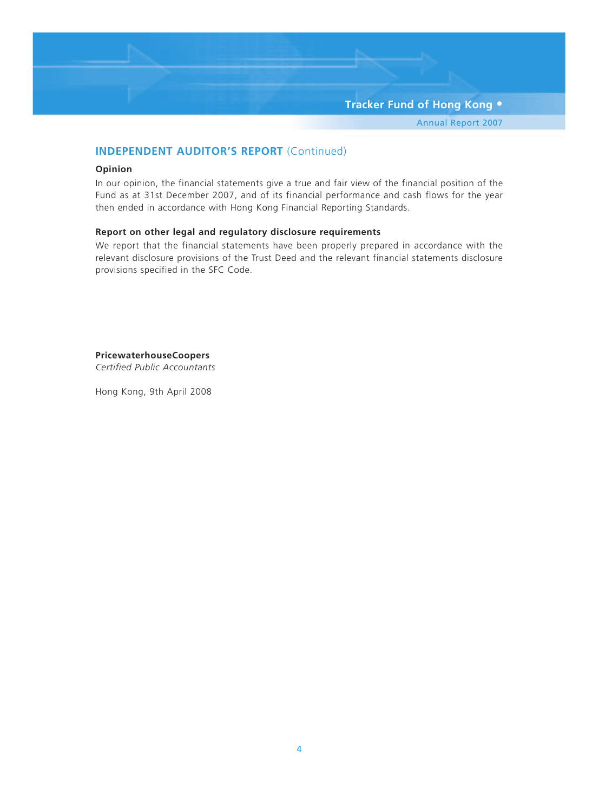Annual Report 2007

## **INDEPENDENT AUDITOR'S REPORT** (Continued)

## **Opinion**

In our opinion, the financial statements give a true and fair view of the financial position of the Fund as at 31st December 2007, and of its financial performance and cash flows for the year then ended in accordance with Hong Kong Financial Reporting Standards.

## **Report on other legal and regulatory disclosure requirements**

We report that the financial statements have been properly prepared in accordance with the relevant disclosure provisions of the Trust Deed and the relevant financial statements disclosure provisions specified in the SFC Code.

**PricewaterhouseCoopers**

*Certified Public Accountants*

Hong Kong, 9th April 2008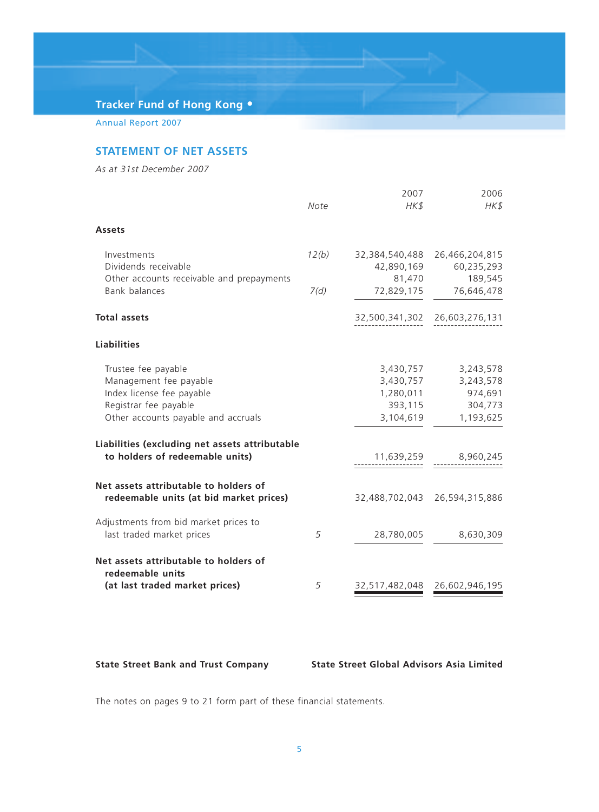Annual Report 2007

# **STATEMENT OF NET ASSETS**

*As at 31st December 2007*

|                                                | Note  | 2007<br>HK\$   | 2006<br>HK\$   |
|------------------------------------------------|-------|----------------|----------------|
| <b>Assets</b>                                  |       |                |                |
|                                                |       |                |                |
| Investments                                    | 12(b) | 32,384,540,488 | 26,466,204,815 |
| Dividends receivable                           |       | 42,890,169     | 60,235,293     |
| Other accounts receivable and prepayments      |       | 81,470         | 189,545        |
| Bank balances                                  | 7(d)  | 72,829,175     | 76,646,478     |
| <b>Total assets</b>                            |       | 32,500,341,302 | 26,603,276,131 |
| <b>Liabilities</b>                             |       |                |                |
| Trustee fee payable                            |       | 3,430,757      | 3,243,578      |
| Management fee payable                         |       | 3,430,757      | 3,243,578      |
| Index license fee payable                      |       | 1,280,011      | 974,691        |
| Registrar fee payable                          |       | 393,115        | 304,773        |
| Other accounts payable and accruals            |       | 3,104,619      | 1,193,625      |
| Liabilities (excluding net assets attributable |       |                |                |
| to holders of redeemable units)                |       | 11,639,259     | 8,960,245      |
| Net assets attributable to holders of          |       |                |                |
| redeemable units (at bid market prices)        |       | 32,488,702,043 | 26,594,315,886 |
| Adjustments from bid market prices to          |       |                |                |
| last traded market prices                      | 5     | 28,780,005     | 8,630,309      |
| Net assets attributable to holders of          |       |                |                |
| redeemable units                               |       |                |                |
| (at last traded market prices)                 | 5     | 32,517,482,048 | 26,602,946,195 |

**State Street Bank and Trust Company State Street Global Advisors Asia Limited**

The notes on pages 9 to 21 form part of these financial statements.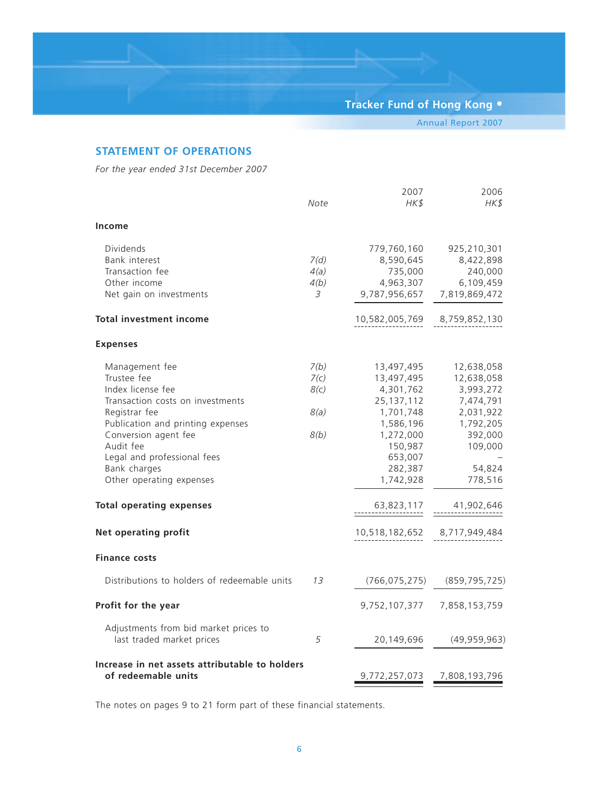6

# **Tracker Fund of Hong Kong ‧**

Annual Report 2007

## **STATEMENT OF OPERATIONS**

*For the year ended 31st December 2007*

| Income<br>Dividends<br>779,760,160<br>925,210,301<br>Bank interest<br>7(d)<br>8,590,645<br>8,422,898<br>735,000<br>Transaction fee<br>4(a)<br>240,000<br>Other income<br>4(b)<br>4,963,307<br>6,109,459<br>9,787,956,657<br>Net gain on investments<br>3<br>7,819,869,472<br><b>Total investment income</b><br>10,582,005,769<br>8,759,852,130<br>Expenses<br>7(b)<br>Management fee<br>13,497,495<br>12,638,058<br>Trustee fee<br>7(c)<br>13,497,495<br>12,638,058<br>Index license fee<br>8(c)<br>4,301,762<br>3,993,272<br>Transaction costs on investments<br>25, 137, 112<br>7,474,791<br>1,701,748<br>Registrar fee<br>8(a)<br>2,031,922<br>Publication and printing expenses<br>1,586,196<br>1,792,205<br>Conversion agent fee<br>8(b)<br>1,272,000<br>392,000<br>Audit fee<br>150,987<br>109,000<br>Legal and professional fees<br>653,007<br>Bank charges<br>282,387<br>54,824<br>Other operating expenses<br>1,742,928<br>778,516<br><b>Total operating expenses</b><br>63,823,117<br>41,902,646<br>Net operating profit<br>10,518,182,652<br>8,717,949,484<br><b>Finance costs</b><br>Distributions to holders of redeemable units<br>13<br>(766, 075, 275)<br>(859, 795, 725)<br>Profit for the year<br>9,752,107,377<br>7,858,153,759<br>Adjustments from bid market prices to<br>last traded market prices<br>5<br>20,149,696<br>(49, 959, 963)<br>Increase in net assets attributable to holders<br>of redeemable units<br>9,772,257,073<br>7,808,193,796 | Note | 2007<br>HK\$ | 2006<br>HK\$ |
|--------------------------------------------------------------------------------------------------------------------------------------------------------------------------------------------------------------------------------------------------------------------------------------------------------------------------------------------------------------------------------------------------------------------------------------------------------------------------------------------------------------------------------------------------------------------------------------------------------------------------------------------------------------------------------------------------------------------------------------------------------------------------------------------------------------------------------------------------------------------------------------------------------------------------------------------------------------------------------------------------------------------------------------------------------------------------------------------------------------------------------------------------------------------------------------------------------------------------------------------------------------------------------------------------------------------------------------------------------------------------------------------------------------------------------------------------------------------------|------|--------------|--------------|
|                                                                                                                                                                                                                                                                                                                                                                                                                                                                                                                                                                                                                                                                                                                                                                                                                                                                                                                                                                                                                                                                                                                                                                                                                                                                                                                                                                                                                                                                          |      |              |              |
|                                                                                                                                                                                                                                                                                                                                                                                                                                                                                                                                                                                                                                                                                                                                                                                                                                                                                                                                                                                                                                                                                                                                                                                                                                                                                                                                                                                                                                                                          |      |              |              |
|                                                                                                                                                                                                                                                                                                                                                                                                                                                                                                                                                                                                                                                                                                                                                                                                                                                                                                                                                                                                                                                                                                                                                                                                                                                                                                                                                                                                                                                                          |      |              |              |
|                                                                                                                                                                                                                                                                                                                                                                                                                                                                                                                                                                                                                                                                                                                                                                                                                                                                                                                                                                                                                                                                                                                                                                                                                                                                                                                                                                                                                                                                          |      |              |              |
|                                                                                                                                                                                                                                                                                                                                                                                                                                                                                                                                                                                                                                                                                                                                                                                                                                                                                                                                                                                                                                                                                                                                                                                                                                                                                                                                                                                                                                                                          |      |              |              |
|                                                                                                                                                                                                                                                                                                                                                                                                                                                                                                                                                                                                                                                                                                                                                                                                                                                                                                                                                                                                                                                                                                                                                                                                                                                                                                                                                                                                                                                                          |      |              |              |
|                                                                                                                                                                                                                                                                                                                                                                                                                                                                                                                                                                                                                                                                                                                                                                                                                                                                                                                                                                                                                                                                                                                                                                                                                                                                                                                                                                                                                                                                          |      |              |              |
|                                                                                                                                                                                                                                                                                                                                                                                                                                                                                                                                                                                                                                                                                                                                                                                                                                                                                                                                                                                                                                                                                                                                                                                                                                                                                                                                                                                                                                                                          |      |              |              |
|                                                                                                                                                                                                                                                                                                                                                                                                                                                                                                                                                                                                                                                                                                                                                                                                                                                                                                                                                                                                                                                                                                                                                                                                                                                                                                                                                                                                                                                                          |      |              |              |
|                                                                                                                                                                                                                                                                                                                                                                                                                                                                                                                                                                                                                                                                                                                                                                                                                                                                                                                                                                                                                                                                                                                                                                                                                                                                                                                                                                                                                                                                          |      |              |              |
|                                                                                                                                                                                                                                                                                                                                                                                                                                                                                                                                                                                                                                                                                                                                                                                                                                                                                                                                                                                                                                                                                                                                                                                                                                                                                                                                                                                                                                                                          |      |              |              |

The notes on pages 9 to 21 form part of these financial statements.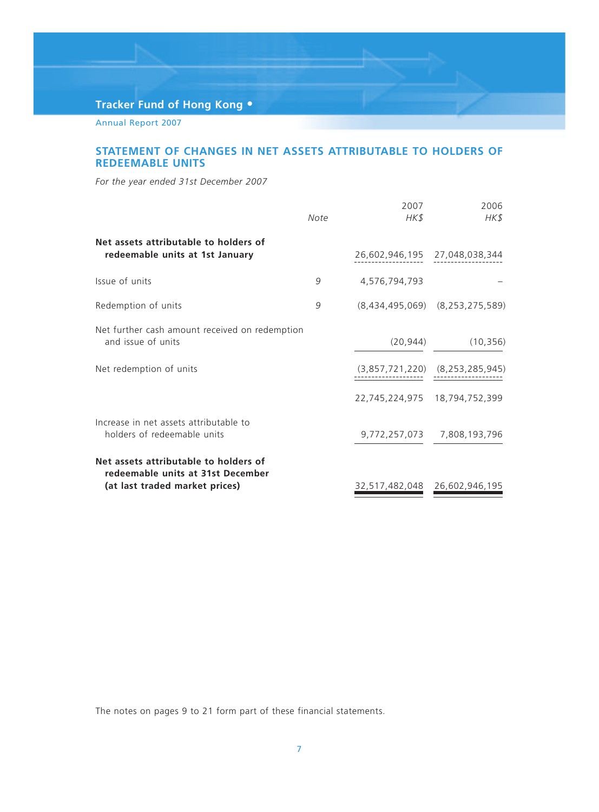Annual Report 2007

## **STATEMENT OF CHANGES IN NET ASSETS ATTRIBUTABLE TO HOLDERS OF REDEEMABLE UNITS**

*For the year ended 31st December 2007*

|                                                                                                              | Note | 2007<br>HK\$                  | 2006<br>HK\$                                     |
|--------------------------------------------------------------------------------------------------------------|------|-------------------------------|--------------------------------------------------|
| Net assets attributable to holders of<br>redeemable units at 1st January                                     |      | 26,602,946,195 27,048,038,344 |                                                  |
| Issue of units                                                                                               | 9    | 4,576,794,793                 |                                                  |
| Redemption of units                                                                                          | 9    |                               | $(8,434,495,069)$ $(8,253,275,589)$              |
| Net further cash amount received on redemption<br>and issue of units<br>Net redemption of units              |      | (20, 944)                     | (10, 356)<br>$(3,857,721,220)$ $(8,253,285,945)$ |
|                                                                                                              |      | 22,745,224,975                | 18,794,752,399                                   |
| Increase in net assets attributable to<br>holders of redeemable units                                        |      | 9,772,257,073                 | 7,808,193,796                                    |
| Net assets attributable to holders of<br>redeemable units at 31st December<br>(at last traded market prices) |      | 32,517,482,048                | 26,602,946,195                                   |

The notes on pages 9 to 21 form part of these financial statements.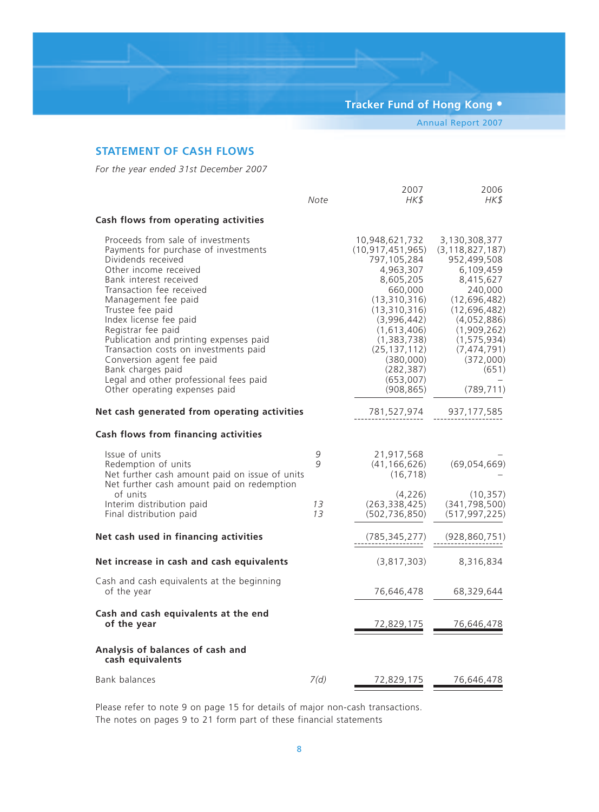8

# **Tracker Fund of Hong Kong ‧**

Annual Report 2007

# **STATEMENT OF CASH FLOWS**

*For the year ended 31st December 2007*

|                                                                                                                                                                                                                                                                                                                                                                                                                                                                                           | Note     | 2007<br>HK\$                                                                                                                                                                                                                                       | 2006<br>HK\$                                                                                                                                                                                                                  |
|-------------------------------------------------------------------------------------------------------------------------------------------------------------------------------------------------------------------------------------------------------------------------------------------------------------------------------------------------------------------------------------------------------------------------------------------------------------------------------------------|----------|----------------------------------------------------------------------------------------------------------------------------------------------------------------------------------------------------------------------------------------------------|-------------------------------------------------------------------------------------------------------------------------------------------------------------------------------------------------------------------------------|
| Cash flows from operating activities                                                                                                                                                                                                                                                                                                                                                                                                                                                      |          |                                                                                                                                                                                                                                                    |                                                                                                                                                                                                                               |
| Proceeds from sale of investments<br>Payments for purchase of investments<br>Dividends received<br>Other income received<br>Bank interest received<br>Transaction fee received<br>Management fee paid<br>Trustee fee paid<br>Index license fee paid<br>Registrar fee paid<br>Publication and printing expenses paid<br>Transaction costs on investments paid<br>Conversion agent fee paid<br>Bank charges paid<br>Legal and other professional fees paid<br>Other operating expenses paid |          | 10,948,621,732<br>(10, 917, 451, 965)<br>797,105,284<br>4,963,307<br>8,605,205<br>660,000<br>(13, 310, 316)<br>(13, 310, 316)<br>(3,996,442)<br>(1,613,406)<br>(1,383,738)<br>(25, 137, 112)<br>(380,000)<br>(282, 387)<br>(653,007)<br>(908, 865) | 3,130,308,377<br>(3, 118, 827, 187)<br>952,499,508<br>6,109,459<br>8,415,627<br>240,000<br>(12, 696, 482)<br>(12,696,482)<br>(4,052,886)<br>(1,909,262)<br>(1, 575, 934)<br>(7, 474, 791)<br>(372,000)<br>(651)<br>(789, 711) |
| Net cash generated from operating activities                                                                                                                                                                                                                                                                                                                                                                                                                                              |          | 781,527,974                                                                                                                                                                                                                                        | 937,177,585                                                                                                                                                                                                                   |
| Cash flows from financing activities                                                                                                                                                                                                                                                                                                                                                                                                                                                      |          |                                                                                                                                                                                                                                                    |                                                                                                                                                                                                                               |
| Issue of units<br>Redemption of units<br>Net further cash amount paid on issue of units<br>Net further cash amount paid on redemption                                                                                                                                                                                                                                                                                                                                                     | 9<br>9   | 21,917,568<br>(41, 166, 626)<br>(16, 718)                                                                                                                                                                                                          | (69,054,669)                                                                                                                                                                                                                  |
| of units<br>Interim distribution paid<br>Final distribution paid                                                                                                                                                                                                                                                                                                                                                                                                                          | 13<br>13 | (4,226)<br>(263, 338, 425)<br>(502, 736, 850)                                                                                                                                                                                                      | (10, 357)<br>(341, 798, 500)<br>(517, 997, 225)                                                                                                                                                                               |
| Net cash used in financing activities                                                                                                                                                                                                                                                                                                                                                                                                                                                     |          | (785,345,277)                                                                                                                                                                                                                                      | (928,860,751)                                                                                                                                                                                                                 |
| Net increase in cash and cash equivalents                                                                                                                                                                                                                                                                                                                                                                                                                                                 |          | (3,817,303)                                                                                                                                                                                                                                        | 8,316,834                                                                                                                                                                                                                     |
| Cash and cash equivalents at the beginning<br>of the year                                                                                                                                                                                                                                                                                                                                                                                                                                 |          | 76,646,478                                                                                                                                                                                                                                         | 68,329,644                                                                                                                                                                                                                    |
| Cash and cash equivalents at the end<br>of the year                                                                                                                                                                                                                                                                                                                                                                                                                                       |          | 72,829,175                                                                                                                                                                                                                                         | 76,646,478                                                                                                                                                                                                                    |
| Analysis of balances of cash and<br>cash equivalents                                                                                                                                                                                                                                                                                                                                                                                                                                      |          |                                                                                                                                                                                                                                                    |                                                                                                                                                                                                                               |
| Bank balances                                                                                                                                                                                                                                                                                                                                                                                                                                                                             | 7(d)     | 72,829,175                                                                                                                                                                                                                                         | 76,646,478                                                                                                                                                                                                                    |

Please refer to note 9 on page 15 for details of major non-cash transactions. The notes on pages 9 to 21 form part of these financial statements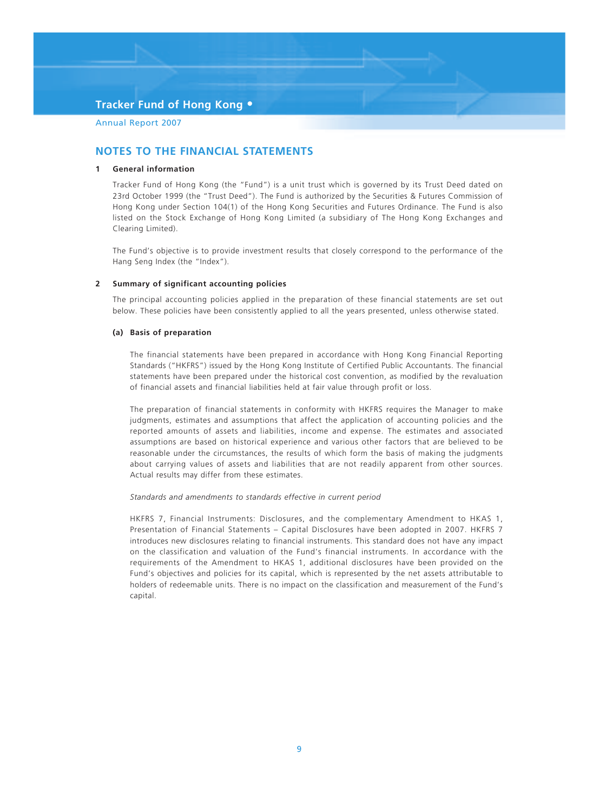Annual Report 2007

## **NOTES TO THE FINANCIAL STATEMENTS**

## **1 General information**

Tracker Fund of Hong Kong (the "Fund") is a unit trust which is governed by its Trust Deed dated on 23rd October 1999 (the "Trust Deed"). The Fund is authorized by the Securities & Futures Commission of Hong Kong under Section 104(1) of the Hong Kong Securities and Futures Ordinance. The Fund is also listed on the Stock Exchange of Hong Kong Limited (a subsidiary of The Hong Kong Exchanges and Clearing Limited).

The Fund's objective is to provide investment results that closely correspond to the performance of the Hang Seng Index (the "Index").

### **2 Summary of significant accounting policies**

The principal accounting policies applied in the preparation of these financial statements are set out below. These policies have been consistently applied to all the years presented, unless otherwise stated.

## **(a) Basis of preparation**

The financial statements have been prepared in accordance with Hong Kong Financial Reporting Standards ("HKFRS") issued by the Hong Kong Institute of Certified Public Accountants. The financial statements have been prepared under the historical cost convention, as modified by the revaluation of financial assets and financial liabilities held at fair value through profit or loss.

The preparation of financial statements in conformity with HKFRS requires the Manager to make judgments, estimates and assumptions that affect the application of accounting policies and the reported amounts of assets and liabilities, income and expense. The estimates and associated assumptions are based on historical experience and various other factors that are believed to be reasonable under the circumstances, the results of which form the basis of making the judgments about carrying values of assets and liabilities that are not readily apparent from other sources. Actual results may differ from these estimates.

#### *Standards and amendments to standards effective in current period*

HKFRS 7, Financial Instruments: Disclosures, and the complementary Amendment to HKAS 1, Presentation of Financial Statements – Capital Disclosures have been adopted in 2007. HKFRS 7 introduces new disclosures relating to financial instruments. This standard does not have any impact on the classification and valuation of the Fund's financial instruments. In accordance with the requirements of the Amendment to HKAS 1, additional disclosures have been provided on the Fund's objectives and policies for its capital, which is represented by the net assets attributable to holders of redeemable units. There is no impact on the classification and measurement of the Fund's capital.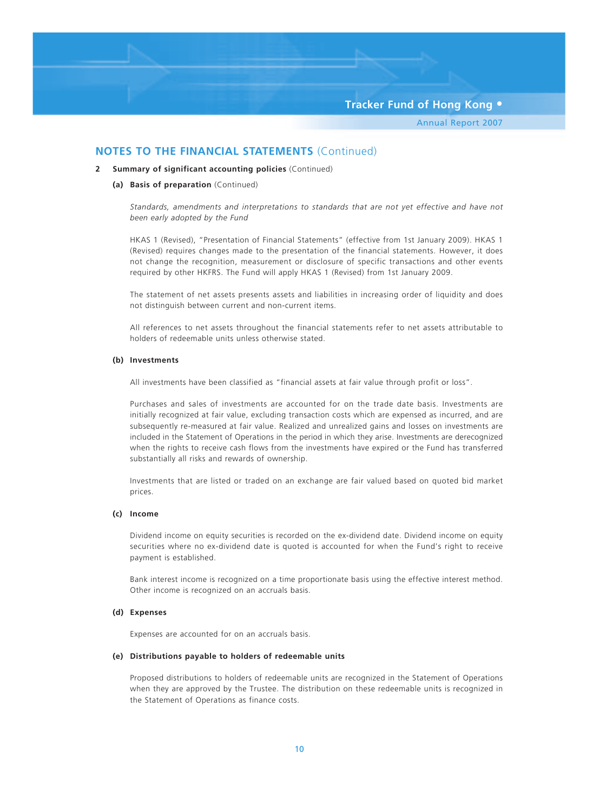Annual Report 2007

## **NOTES TO THE FINANCIAL STATEMENTS** (Continued)

## **2 Summary of significant accounting policies** (Continued)

### **(a) Basis of preparation** (Continued)

*Standards, amendments and interpretations to standards that are not yet effective and have not been early adopted by the Fund*

HKAS 1 (Revised), "Presentation of Financial Statements" (effective from 1st January 2009). HKAS 1 (Revised) requires changes made to the presentation of the financial statements. However, it does not change the recognition, measurement or disclosure of specific transactions and other events required by other HKFRS. The Fund will apply HKAS 1 (Revised) from 1st January 2009.

The statement of net assets presents assets and liabilities in increasing order of liquidity and does not distinguish between current and non-current items.

All references to net assets throughout the financial statements refer to net assets attributable to holders of redeemable units unless otherwise stated.

### **(b) Investments**

All investments have been classified as "financial assets at fair value through profit or loss".

Purchases and sales of investments are accounted for on the trade date basis. Investments are initially recognized at fair value, excluding transaction costs which are expensed as incurred, and are subsequently re-measured at fair value. Realized and unrealized gains and losses on investments are included in the Statement of Operations in the period in which they arise. Investments are derecognized when the rights to receive cash flows from the investments have expired or the Fund has transferred substantially all risks and rewards of ownership.

Investments that are listed or traded on an exchange are fair valued based on quoted bid market prices.

#### **(c) Income**

Dividend income on equity securities is recorded on the ex-dividend date. Dividend income on equity securities where no ex-dividend date is quoted is accounted for when the Fund's right to receive payment is established.

Bank interest income is recognized on a time proportionate basis using the effective interest method. Other income is recognized on an accruals basis.

## **(d) Expenses**

Expenses are accounted for on an accruals basis.

#### **(e) Distributions payable to holders of redeemable units**

Proposed distributions to holders of redeemable units are recognized in the Statement of Operations when they are approved by the Trustee. The distribution on these redeemable units is recognized in the Statement of Operations as finance costs.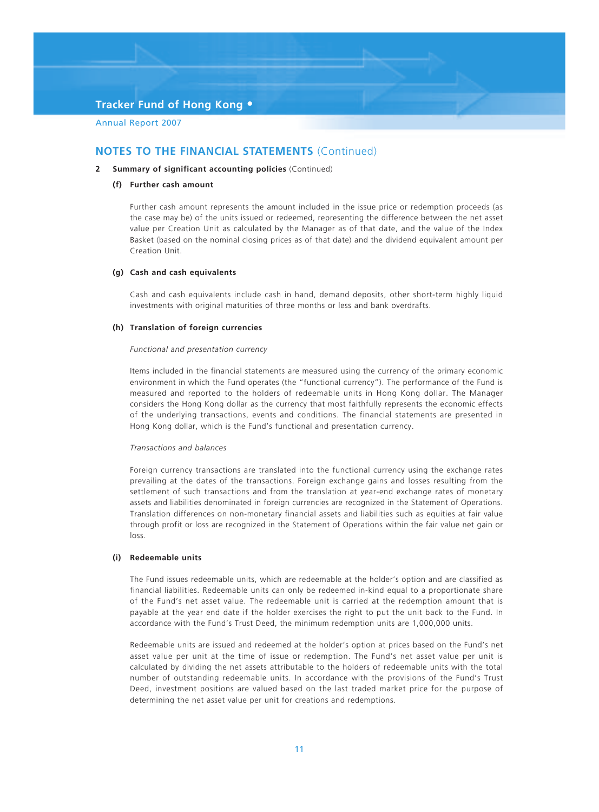#### Annual Report 2007

## **NOTES TO THE FINANCIAL STATEMENTS** (Continued)

#### **2 Summary of significant accounting policies** (Continued)

### **(f) Further cash amount**

Further cash amount represents the amount included in the issue price or redemption proceeds (as the case may be) of the units issued or redeemed, representing the difference between the net asset value per Creation Unit as calculated by the Manager as of that date, and the value of the Index Basket (based on the nominal closing prices as of that date) and the dividend equivalent amount per Creation Unit.

### **(g) Cash and cash equivalents**

Cash and cash equivalents include cash in hand, demand deposits, other short-term highly liquid investments with original maturities of three months or less and bank overdrafts.

#### **(h) Translation of foreign currencies**

#### *Functional and presentation currency*

Items included in the financial statements are measured using the currency of the primary economic environment in which the Fund operates (the "functional currency"). The performance of the Fund is measured and reported to the holders of redeemable units in Hong Kong dollar. The Manager considers the Hong Kong dollar as the currency that most faithfully represents the economic effects of the underlying transactions, events and conditions. The financial statements are presented in Hong Kong dollar, which is the Fund's functional and presentation currency.

#### *Transactions and balances*

Foreign currency transactions are translated into the functional currency using the exchange rates prevailing at the dates of the transactions. Foreign exchange gains and losses resulting from the settlement of such transactions and from the translation at year-end exchange rates of monetary assets and liabilities denominated in foreign currencies are recognized in the Statement of Operations. Translation differences on non-monetary financial assets and liabilities such as equities at fair value through profit or loss are recognized in the Statement of Operations within the fair value net gain or loss.

## **(i) Redeemable units**

The Fund issues redeemable units, which are redeemable at the holder's option and are classified as financial liabilities. Redeemable units can only be redeemed in-kind equal to a proportionate share of the Fund's net asset value. The redeemable unit is carried at the redemption amount that is payable at the year end date if the holder exercises the right to put the unit back to the Fund. In accordance with the Fund's Trust Deed, the minimum redemption units are 1,000,000 units.

Redeemable units are issued and redeemed at the holder's option at prices based on the Fund's net asset value per unit at the time of issue or redemption. The Fund's net asset value per unit is calculated by dividing the net assets attributable to the holders of redeemable units with the total number of outstanding redeemable units. In accordance with the provisions of the Fund's Trust Deed, investment positions are valued based on the last traded market price for the purpose of determining the net asset value per unit for creations and redemptions.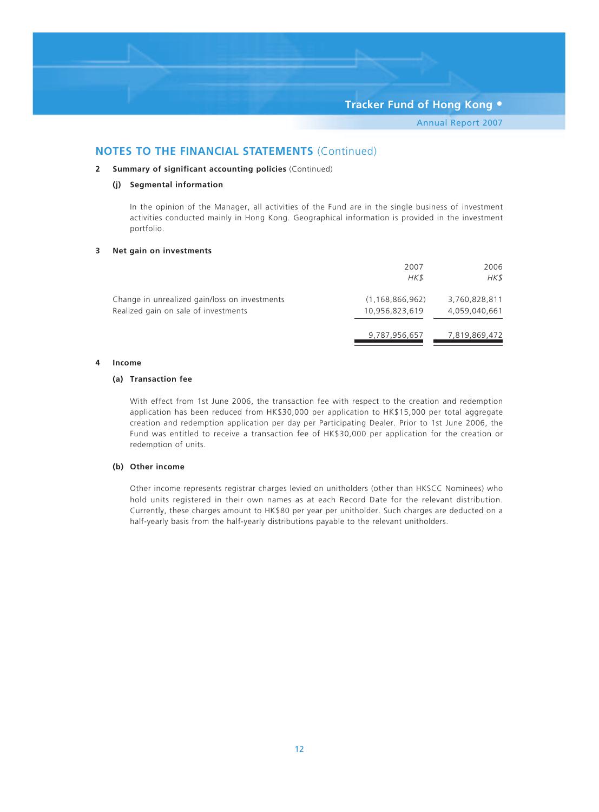## **NOTES TO THE FINANCIAL STATEMENTS** (Continued)

### **2 Summary of significant accounting policies** (Continued)

## **(j) Segmental information**

In the opinion of the Manager, all activities of the Fund are in the single business of investment activities conducted mainly in Hong Kong. Geographical information is provided in the investment portfolio.

#### **3 Net gain on investments**

|                                                                                       | 2007<br>HK\$                         | 2006<br>HK\$                   |
|---------------------------------------------------------------------------------------|--------------------------------------|--------------------------------|
| Change in unrealized gain/loss on investments<br>Realized gain on sale of investments | (1, 168, 866, 962)<br>10,956,823,619 | 3,760,828,811<br>4,059,040,661 |
|                                                                                       | 9,787,956,657                        | 7,819,869,472                  |

#### **4 Income**

## **(a) Transaction fee**

With effect from 1st June 2006, the transaction fee with respect to the creation and redemption application has been reduced from HK\$30,000 per application to HK\$15,000 per total aggregate creation and redemption application per day per Participating Dealer. Prior to 1st June 2006, the Fund was entitled to receive a transaction fee of HK\$30,000 per application for the creation or redemption of units.

## **(b) Other income**

Other income represents registrar charges levied on unitholders (other than HKSCC Nominees) who hold units registered in their own names as at each Record Date for the relevant distribution. Currently, these charges amount to HK\$80 per year per unitholder. Such charges are deducted on a half-yearly basis from the half-yearly distributions payable to the relevant unitholders.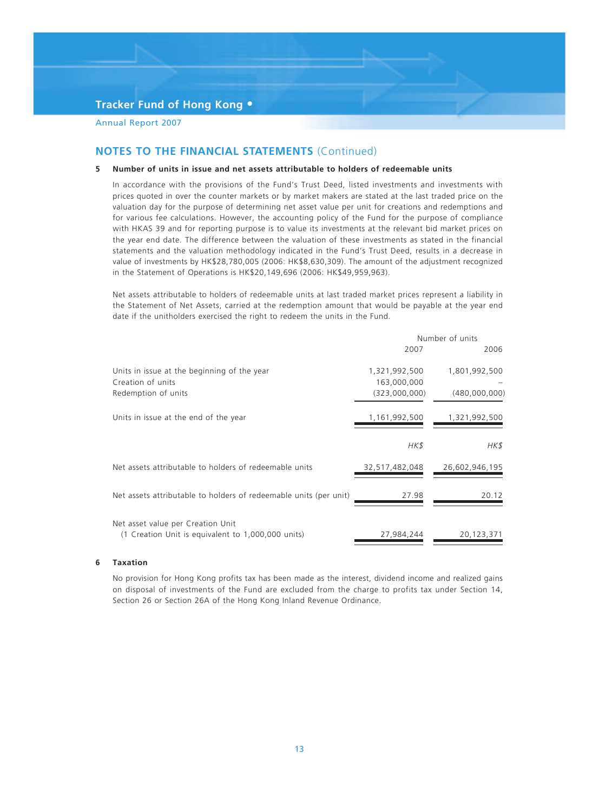## Annual Report 2007

## **NOTES TO THE FINANCIAL STATEMENTS** (Continued)

## **5 Number of units in issue and net assets attributable to holders of redeemable units**

In accordance with the provisions of the Fund's Trust Deed, listed investments and investments with prices quoted in over the counter markets or by market makers are stated at the last traded price on the valuation day for the purpose of determining net asset value per unit for creations and redemptions and for various fee calculations. However, the accounting policy of the Fund for the purpose of compliance with HKAS 39 and for reporting purpose is to value its investments at the relevant bid market prices on the year end date. The difference between the valuation of these investments as stated in the financial statements and the valuation methodology indicated in the Fund's Trust Deed, results in a decrease in value of investments by HK\$28,780,005 (2006: HK\$8,630,309). The amount of the adjustment recognized in the Statement of Operations is HK\$20,149,696 (2006: HK\$49,959,963).

Net assets attributable to holders of redeemable units at last traded market prices represent a liability in the Statement of Net Assets, carried at the redemption amount that would be payable at the year end date if the unitholders exercised the right to redeem the units in the Fund.

|                                                                   |                | Number of units |
|-------------------------------------------------------------------|----------------|-----------------|
|                                                                   | 2007           | 2006            |
| Units in issue at the beginning of the year                       | 1,321,992,500  | 1,801,992,500   |
| Creation of units                                                 | 163,000,000    |                 |
| Redemption of units                                               | (323,000,000)  | (480,000,000)   |
| Units in issue at the end of the year                             | 1,161,992,500  | 1,321,992,500   |
|                                                                   | HK\$           | HK\$            |
| Net assets attributable to holders of redeemable units            | 32,517,482,048 | 26,602,946,195  |
| Net assets attributable to holders of redeemable units (per unit) | 27.98          | 20.12           |
| Net asset value per Creation Unit                                 |                |                 |
| (1 Creation Unit is equivalent to 1,000,000 units)                | 27,984,244     | 20,123,371      |

#### **6 Taxation**

No provision for Hong Kong profits tax has been made as the interest, dividend income and realized gains on disposal of investments of the Fund are excluded from the charge to profits tax under Section 14, Section 26 or Section 26A of the Hong Kong Inland Revenue Ordinance.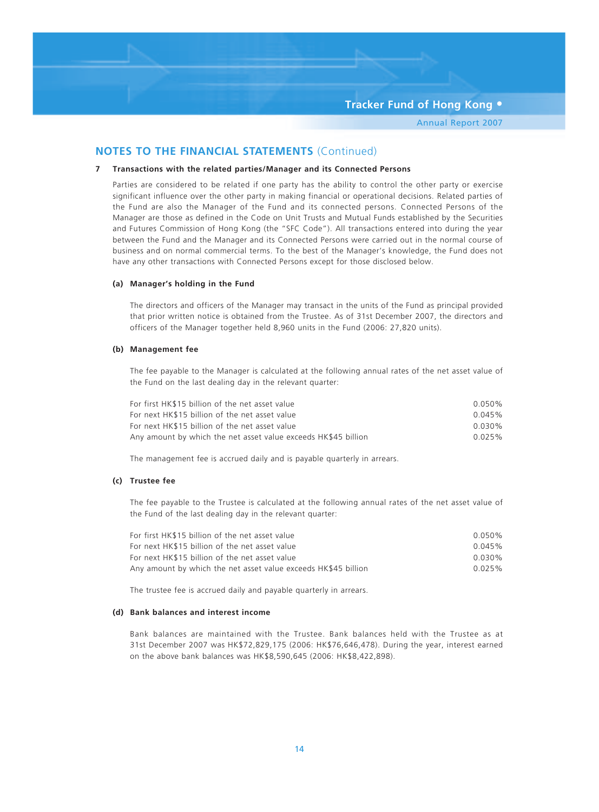## **NOTES TO THE FINANCIAL STATEMENTS** (Continued)

### **7 Transactions with the related parties/Manager and its Connected Persons**

Parties are considered to be related if one party has the ability to control the other party or exercise significant influence over the other party in making financial or operational decisions. Related parties of the Fund are also the Manager of the Fund and its connected persons. Connected Persons of the Manager are those as defined in the Code on Unit Trusts and Mutual Funds established by the Securities and Futures Commission of Hong Kong (the "SFC Code"). All transactions entered into during the year between the Fund and the Manager and its Connected Persons were carried out in the normal course of business and on normal commercial terms. To the best of the Manager's knowledge, the Fund does not have any other transactions with Connected Persons except for those disclosed below.

#### **(a) Manager's holding in the Fund**

The directors and officers of the Manager may transact in the units of the Fund as principal provided that prior written notice is obtained from the Trustee. As of 31st December 2007, the directors and officers of the Manager together held 8,960 units in the Fund (2006: 27,820 units).

### **(b) Management fee**

The fee payable to the Manager is calculated at the following annual rates of the net asset value of the Fund on the last dealing day in the relevant quarter:

| For first HK\$15 billion of the net asset value                | $0.050\%$ |
|----------------------------------------------------------------|-----------|
| For next HK\$15 billion of the net asset value                 | 0.045%    |
| For next HK\$15 billion of the net asset value                 | $0.030\%$ |
| Any amount by which the net asset value exceeds HK\$45 billion | 0.025%    |

The management fee is accrued daily and is payable quarterly in arrears.

#### **(c) Trustee fee**

The fee payable to the Trustee is calculated at the following annual rates of the net asset value of the Fund of the last dealing day in the relevant quarter:

| For first HK\$15 billion of the net asset value                | 0.050%    |
|----------------------------------------------------------------|-----------|
| For next HK\$15 billion of the net asset value                 | 0.045%    |
| For next HK\$15 billion of the net asset value                 | $0.030\%$ |
| Any amount by which the net asset value exceeds HK\$45 billion | 0.025%    |

The trustee fee is accrued daily and payable quarterly in arrears.

## **(d) Bank balances and interest income**

Bank balances are maintained with the Trustee. Bank balances held with the Trustee as at 31st December 2007 was HK\$72,829,175 (2006: HK\$76,646,478). During the year, interest earned on the above bank balances was HK\$8,590,645 (2006: HK\$8,422,898).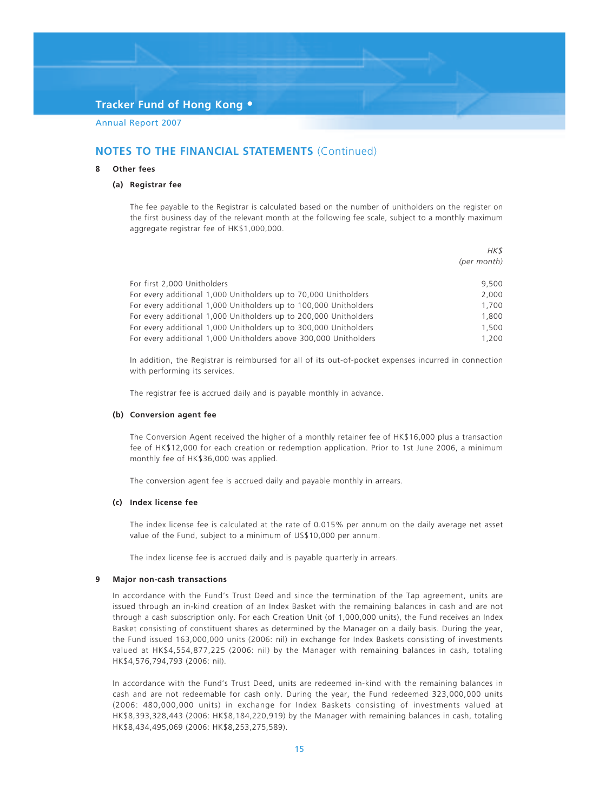Annual Report 2007

## **NOTES TO THE FINANCIAL STATEMENTS** (Continued)

### **8 Other fees**

## **(a) Registrar fee**

The fee payable to the Registrar is calculated based on the number of unitholders on the register on the first business day of the relevant month at the following fee scale, subject to a monthly maximum aggregate registrar fee of HK\$1,000,000.

|                                                                  | HK\$        |
|------------------------------------------------------------------|-------------|
|                                                                  | (per month) |
| For first 2,000 Unitholders                                      | 9.500       |
| For every additional 1,000 Unitholders up to 70,000 Unitholders  | 2.000       |
| For every additional 1,000 Unitholders up to 100,000 Unitholders | 1,700       |
| For every additional 1,000 Unitholders up to 200,000 Unitholders | 1.800       |
| For every additional 1,000 Unitholders up to 300,000 Unitholders | 1.500       |
| For every additional 1,000 Unitholders above 300,000 Unitholders | 1.200       |

In addition, the Registrar is reimbursed for all of its out-of-pocket expenses incurred in connection with performing its services.

The registrar fee is accrued daily and is payable monthly in advance.

#### **(b) Conversion agent fee**

The Conversion Agent received the higher of a monthly retainer fee of HK\$16,000 plus a transaction fee of HK\$12,000 for each creation or redemption application. Prior to 1st June 2006, a minimum monthly fee of HK\$36,000 was applied.

The conversion agent fee is accrued daily and payable monthly in arrears.

### **(c) Index license fee**

The index license fee is calculated at the rate of 0.015% per annum on the daily average net asset value of the Fund, subject to a minimum of US\$10,000 per annum.

The index license fee is accrued daily and is payable quarterly in arrears.

#### **9 Major non-cash transactions**

In accordance with the Fund's Trust Deed and since the termination of the Tap agreement, units are issued through an in-kind creation of an Index Basket with the remaining balances in cash and are not through a cash subscription only. For each Creation Unit (of 1,000,000 units), the Fund receives an Index Basket consisting of constituent shares as determined by the Manager on a daily basis. During the year, the Fund issued 163,000,000 units (2006: nil) in exchange for Index Baskets consisting of investments valued at HK\$4,554,877,225 (2006: nil) by the Manager with remaining balances in cash, totaling HK\$4,576,794,793 (2006: nil).

In accordance with the Fund's Trust Deed, units are redeemed in-kind with the remaining balances in cash and are not redeemable for cash only. During the year, the Fund redeemed 323,000,000 units (2006: 480,000,000 units) in exchange for Index Baskets consisting of investments valued at HK\$8,393,328,443 (2006: HK\$8,184,220,919) by the Manager with remaining balances in cash, totaling HK\$8,434,495,069 (2006: HK\$8,253,275,589).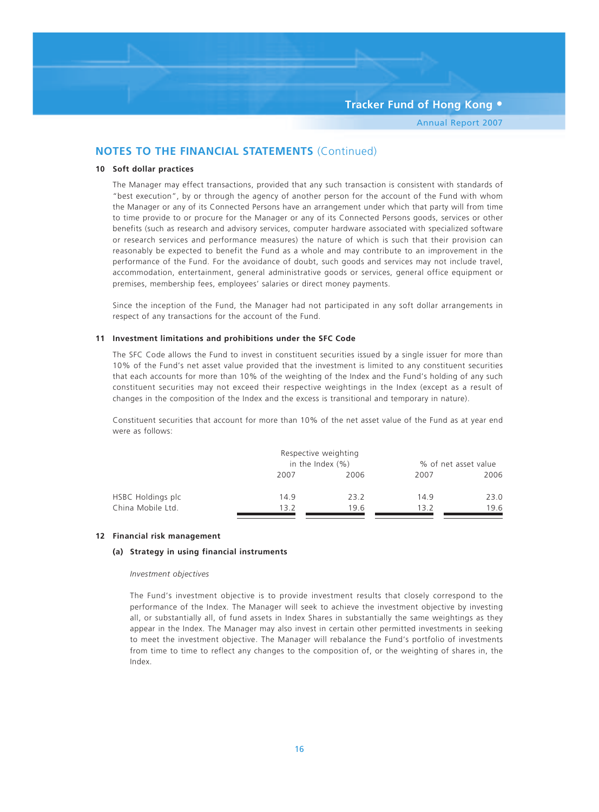## **NOTES TO THE FINANCIAL STATEMENTS** (Continued)

## **10 Soft dollar practices**

The Manager may effect transactions, provided that any such transaction is consistent with standards of "best execution", by or through the agency of another person for the account of the Fund with whom the Manager or any of its Connected Persons have an arrangement under which that party will from time to time provide to or procure for the Manager or any of its Connected Persons goods, services or other benefits (such as research and advisory services, computer hardware associated with specialized software or research services and performance measures) the nature of which is such that their provision can reasonably be expected to benefit the Fund as a whole and may contribute to an improvement in the performance of the Fund. For the avoidance of doubt, such goods and services may not include travel, accommodation, entertainment, general administrative goods or services, general office equipment or premises, membership fees, employees' salaries or direct money payments.

Since the inception of the Fund, the Manager had not participated in any soft dollar arrangements in respect of any transactions for the account of the Fund.

#### **11 Investment limitations and prohibitions under the SFC Code**

The SFC Code allows the Fund to invest in constituent securities issued by a single issuer for more than 10% of the Fund's net asset value provided that the investment is limited to any constituent securities that each accounts for more than 10% of the weighting of the Index and the Fund's holding of any such constituent securities may not exceed their respective weightings in the Index (except as a result of changes in the composition of the Index and the excess is transitional and temporary in nature).

Constituent securities that account for more than 10% of the net asset value of the Fund as at year end were as follows:

|                   | Respective weighting |      |                      |      |
|-------------------|----------------------|------|----------------------|------|
|                   | in the Index $(\% )$ |      | % of net asset value |      |
|                   | 2007                 | 2006 | 2007                 | 2006 |
| HSBC Holdings plc | 14.9                 | 23.2 | 14.9                 | 23.0 |
| China Mobile Ltd. | 13.2                 | 19.6 | 13 2                 | 19.6 |

### **12 Financial risk management**

#### **(a) Strategy in using financial instruments**

#### *Investment objectives*

The Fund's investment objective is to provide investment results that closely correspond to the performance of the Index. The Manager will seek to achieve the investment objective by investing all, or substantially all, of fund assets in Index Shares in substantially the same weightings as they appear in the Index. The Manager may also invest in certain other permitted investments in seeking to meet the investment objective. The Manager will rebalance the Fund's portfolio of investments from time to time to reflect any changes to the composition of, or the weighting of shares in, the Index.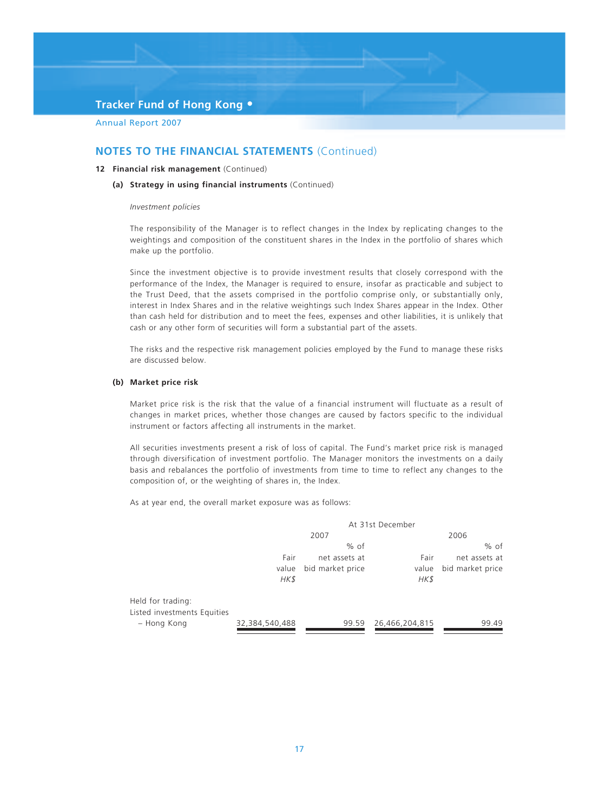Annual Report 2007

## **NOTES TO THE FINANCIAL STATEMENTS** (Continued)

#### **12 Financial risk management** (Continued)

#### **(a) Strategy in using financial instruments** (Continued)

### *Investment policies*

The responsibility of the Manager is to reflect changes in the Index by replicating changes to the weightings and composition of the constituent shares in the Index in the portfolio of shares which make up the portfolio.

Since the investment objective is to provide investment results that closely correspond with the performance of the Index, the Manager is required to ensure, insofar as practicable and subject to the Trust Deed, that the assets comprised in the portfolio comprise only, or substantially only, interest in Index Shares and in the relative weightings such Index Shares appear in the Index. Other than cash held for distribution and to meet the fees, expenses and other liabilities, it is unlikely that cash or any other form of securities will form a substantial part of the assets.

The risks and the respective risk management policies employed by the Fund to manage these risks are discussed below.

### **(b) Market price risk**

Market price risk is the risk that the value of a financial instrument will fluctuate as a result of changes in market prices, whether those changes are caused by factors specific to the individual instrument or factors affecting all instruments in the market.

All securities investments present a risk of loss of capital. The Fund's market price risk is managed through diversification of investment portfolio. The Manager monitors the investments on a daily basis and rebalances the portfolio of investments from time to time to reflect any changes to the composition of, or the weighting of shares in, the Index.

As at year end, the overall market exposure was as follows:

|                                                  |                       |                                   | At 31st December      |                                   |
|--------------------------------------------------|-----------------------|-----------------------------------|-----------------------|-----------------------------------|
|                                                  |                       | 2007                              |                       | 2006                              |
|                                                  |                       | $%$ of                            |                       | $%$ of                            |
|                                                  | Fair<br>value<br>HK\$ | net assets at<br>bid market price | Fair<br>value<br>HK\$ | net assets at<br>bid market price |
| Held for trading:<br>Listed investments Equities |                       |                                   |                       |                                   |
| – Hong Kong                                      | 32,384,540,488        | 99.59                             | 26,466,204,815        | 99.49                             |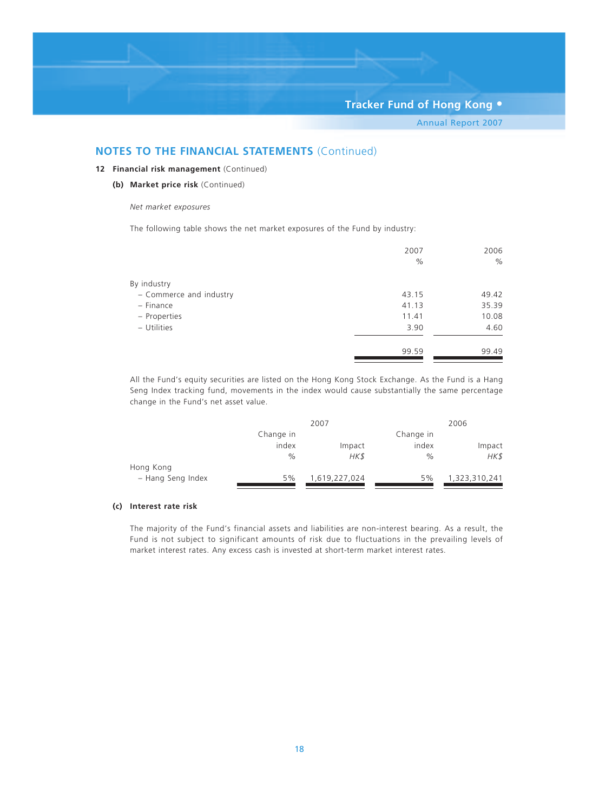Annual Report 2007

## **NOTES TO THE FINANCIAL STATEMENTS** (Continued)

## **12 Financial risk management** (Continued)

**(b) Market price risk** (Continued)

## *Net market exposures*

The following table shows the net market exposures of the Fund by industry:

|                         | 2007  | 2006  |
|-------------------------|-------|-------|
|                         | $\%$  | $\%$  |
| By industry             |       |       |
| - Commerce and industry | 43.15 | 49.42 |
| - Finance               | 41.13 | 35.39 |
| - Properties            | 11.41 | 10.08 |
| - Utilities             | 3.90  | 4.60  |
|                         | 99.59 | 99.49 |

All the Fund's equity securities are listed on the Hong Kong Stock Exchange. As the Fund is a Hang Seng Index tracking fund, movements in the index would cause substantially the same percentage change in the Fund's net asset value.

|                   |               | 2007          |               | 2006          |  |
|-------------------|---------------|---------------|---------------|---------------|--|
|                   | Change in     |               | Change in     |               |  |
|                   | index         | Impact        | index         | Impact        |  |
|                   | $\frac{0}{0}$ | HK\$          | $\frac{0}{0}$ | HK\$          |  |
| Hong Kong         |               |               |               |               |  |
| - Hang Seng Index | 5%            | 1,619,227,024 | 5%            | 1,323,310,241 |  |

## **(c) Interest rate risk**

The majority of the Fund's financial assets and liabilities are non-interest bearing. As a result, the Fund is not subject to significant amounts of risk due to fluctuations in the prevailing levels of market interest rates. Any excess cash is invested at short-term market interest rates.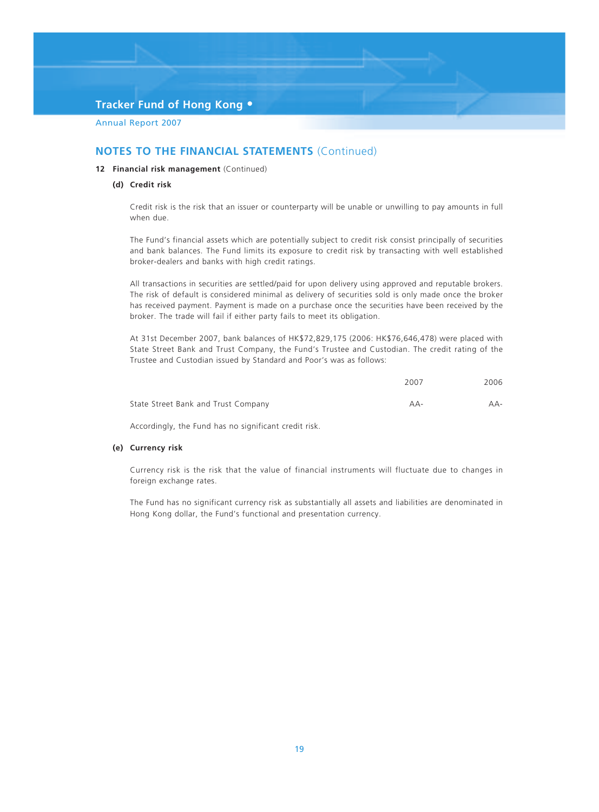Annual Report 2007

## **NOTES TO THE FINANCIAL STATEMENTS** (Continued)

## **12 Financial risk management** (Continued)

### **(d) Credit risk**

Credit risk is the risk that an issuer or counterparty will be unable or unwilling to pay amounts in full when due.

The Fund's financial assets which are potentially subject to credit risk consist principally of securities and bank balances. The Fund limits its exposure to credit risk by transacting with well established broker-dealers and banks with high credit ratings.

All transactions in securities are settled/paid for upon delivery using approved and reputable brokers. The risk of default is considered minimal as delivery of securities sold is only made once the broker has received payment. Payment is made on a purchase once the securities have been received by the broker. The trade will fail if either party fails to meet its obligation.

At 31st December 2007, bank balances of HK\$72,829,175 (2006: HK\$76,646,478) were placed with State Street Bank and Trust Company, the Fund's Trustee and Custodian. The credit rating of the Trustee and Custodian issued by Standard and Poor's was as follows:

|                                     | 2007  | 2006 |
|-------------------------------------|-------|------|
| State Street Bank and Trust Company | $AA-$ | AA-  |

Accordingly, the Fund has no significant credit risk.

## **(e) Currency risk**

Currency risk is the risk that the value of financial instruments will fluctuate due to changes in foreign exchange rates.

The Fund has no significant currency risk as substantially all assets and liabilities are denominated in Hong Kong dollar, the Fund's functional and presentation currency.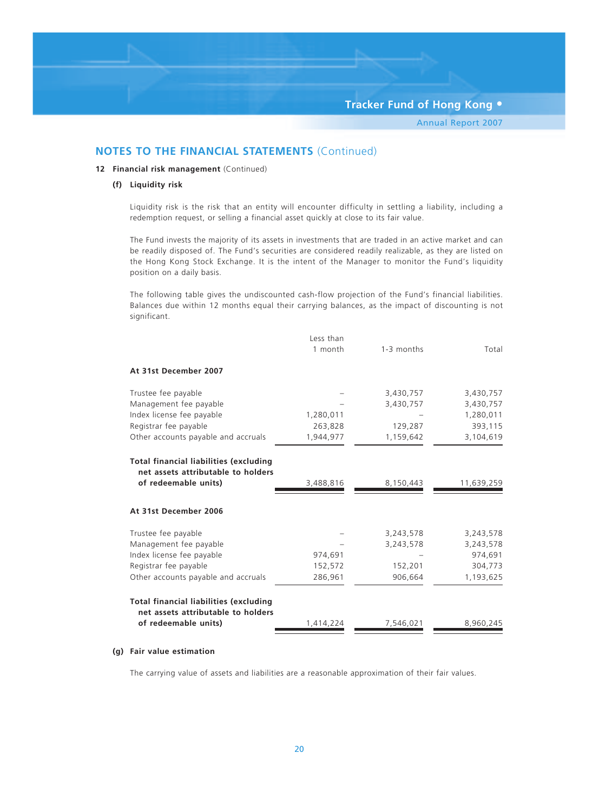## **NOTES TO THE FINANCIAL STATEMENTS** (Continued)

## **12 Financial risk management** (Continued)

### **(f) Liquidity risk**

Liquidity risk is the risk that an entity will encounter difficulty in settling a liability, including a redemption request, or selling a financial asset quickly at close to its fair value.

The Fund invests the majority of its assets in investments that are traded in an active market and can be readily disposed of. The Fund's securities are considered readily realizable, as they are listed on the Hong Kong Stock Exchange. It is the intent of the Manager to monitor the Fund's liquidity position on a daily basis.

The following table gives the undiscounted cash-flow projection of the Fund's financial liabilities. Balances due within 12 months equal their carrying balances, as the impact of discounting is not significant.

|                                                                                                             | Less than |            |            |
|-------------------------------------------------------------------------------------------------------------|-----------|------------|------------|
|                                                                                                             | 1 month   | 1-3 months | Total      |
| At 31st December 2007                                                                                       |           |            |            |
| Trustee fee payable                                                                                         |           | 3,430,757  | 3,430,757  |
| Management fee payable                                                                                      |           | 3,430,757  | 3,430,757  |
| Index license fee payable                                                                                   | 1,280,011 |            | 1,280,011  |
| Registrar fee payable                                                                                       | 263,828   | 129,287    | 393,115    |
| Other accounts payable and accruals                                                                         | 1.944.977 | 1,159,642  | 3,104,619  |
| <b>Total financial liabilities (excluding</b><br>net assets attributable to holders<br>of redeemable units) | 3,488,816 | 8,150,443  | 11,639,259 |
|                                                                                                             |           |            |            |
| At 31st December 2006                                                                                       |           |            |            |
| Trustee fee payable                                                                                         |           | 3,243,578  | 3,243,578  |
| Management fee payable                                                                                      |           | 3,243,578  | 3,243,578  |
| Index license fee payable                                                                                   | 974,691   |            | 974,691    |
| Registrar fee payable                                                                                       | 152,572   | 152,201    | 304,773    |
| Other accounts payable and accruals                                                                         | 286,961   | 906,664    | 1,193,625  |
| <b>Total financial liabilities (excluding</b><br>net assets attributable to holders                         |           |            |            |
| of redeemable units)                                                                                        | 1,414,224 | 7,546,021  | 8,960,245  |

## **(g) Fair value estimation**

The carrying value of assets and liabilities are a reasonable approximation of their fair values.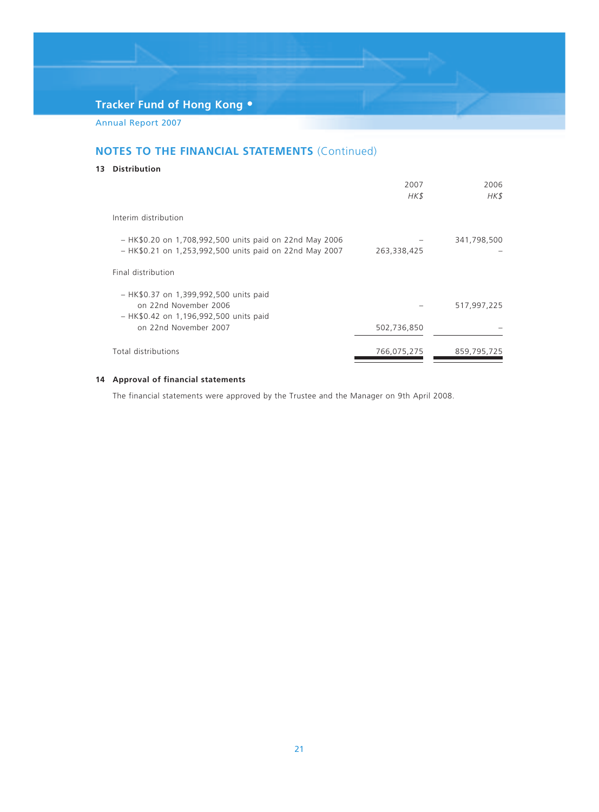Annual Report 2007

# **NOTES TO THE FINANCIAL STATEMENTS** (Continued)

## **13 Distribution**

|                                                                                                                    | 2007<br>HK\$ | 2006<br>HK\$ |
|--------------------------------------------------------------------------------------------------------------------|--------------|--------------|
| Interim distribution                                                                                               |              |              |
| - HK\$0.20 on 1,708,992,500 units paid on 22nd May 2006<br>- HK\$0.21 on 1,253,992,500 units paid on 22nd May 2007 | 263,338,425  | 341,798,500  |
| Final distribution                                                                                                 |              |              |
| - HK\$0.37 on 1,399,992,500 units paid<br>on 22nd November 2006<br>- HK\$0.42 on 1,196,992,500 units paid          |              | 517,997,225  |
| on 22nd November 2007                                                                                              | 502,736,850  |              |
| Total distributions                                                                                                | 766,075,275  | 859,795,725  |

## **14 Approval of financial statements**

The financial statements were approved by the Trustee and the Manager on 9th April 2008.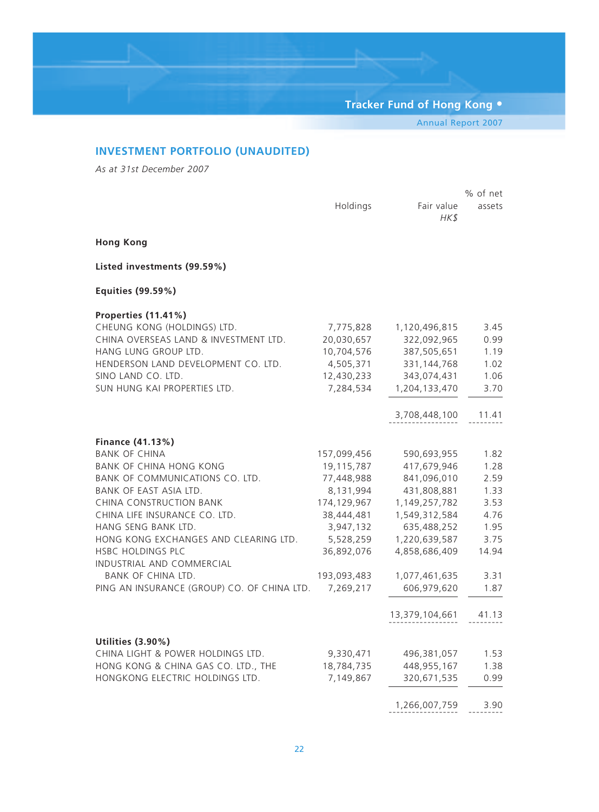Annual Report 2007

# **INVESTMENT PORTFOLIO (UNAUDITED)**

*As at 31st December 2007*

|             |                                                                                                                                | % of net                                                                                   |
|-------------|--------------------------------------------------------------------------------------------------------------------------------|--------------------------------------------------------------------------------------------|
| Holdings    | Fair value<br>HK\$                                                                                                             | assets                                                                                     |
|             |                                                                                                                                |                                                                                            |
|             |                                                                                                                                |                                                                                            |
|             |                                                                                                                                |                                                                                            |
|             |                                                                                                                                |                                                                                            |
| 7,775,828   | 1,120,496,815                                                                                                                  | 3.45                                                                                       |
| 20,030,657  | 322,092,965                                                                                                                    | 0.99                                                                                       |
| 10,704,576  |                                                                                                                                | 1.19                                                                                       |
|             |                                                                                                                                | 1.02                                                                                       |
|             |                                                                                                                                | 1.06                                                                                       |
|             |                                                                                                                                | 3.70                                                                                       |
|             | 3,708,448,100                                                                                                                  | 11.41                                                                                      |
|             |                                                                                                                                |                                                                                            |
|             | 590,693,955                                                                                                                    | 1.82                                                                                       |
| 19,115,787  | 417,679,946                                                                                                                    | 1.28                                                                                       |
| 77,448,988  | 841,096,010                                                                                                                    | 2.59                                                                                       |
| 8,131,994   | 431,808,881                                                                                                                    | 1.33                                                                                       |
| 174,129,967 | 1,149,257,782                                                                                                                  | 3.53                                                                                       |
| 38,444,481  | 1,549,312,584                                                                                                                  | 4.76                                                                                       |
| 3,947,132   | 635,488,252                                                                                                                    | 1.95                                                                                       |
| 5,528,259   | 1,220,639,587                                                                                                                  | 3.75                                                                                       |
| 36,892,076  | 4,858,686,409                                                                                                                  | 14.94                                                                                      |
|             |                                                                                                                                |                                                                                            |
|             |                                                                                                                                | 3.31<br>1.87                                                                               |
|             |                                                                                                                                |                                                                                            |
|             | 13,379,104,661                                                                                                                 | 41.13                                                                                      |
|             |                                                                                                                                |                                                                                            |
| 9,330,471   | 496,381,057                                                                                                                    | 1.53                                                                                       |
| 18,784,735  | 448,955,167                                                                                                                    | 1.38                                                                                       |
| 7,149,867   | 320,671,535                                                                                                                    | 0.99                                                                                       |
|             | 1,266,007,759                                                                                                                  | 3.90                                                                                       |
|             | 4,505,371<br>12,430,233<br>7,284,534<br>157,099,456<br>193,093,483<br>PING AN INSURANCE (GROUP) CO. OF CHINA LTD.<br>7,269,217 | 387,505,651<br>331,144,768<br>343,074,431<br>1,204,133,470<br>1,077,461,635<br>606,979,620 |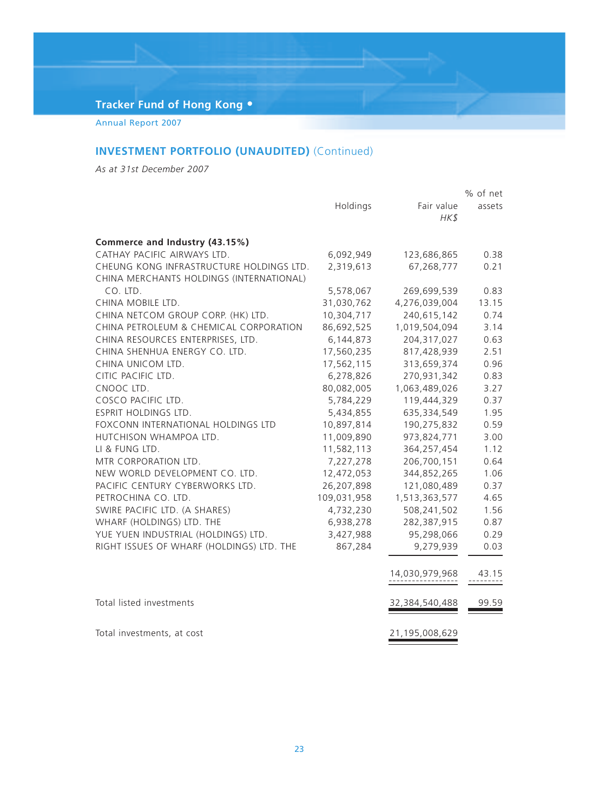Annual Report 2007

# **INVESTMENT PORTFOLIO (UNAUDITED)** (Continued)

*As at 31st December 2007*

|                                           |             |                | % of net |
|-------------------------------------------|-------------|----------------|----------|
|                                           | Holdings    | Fair value     | assets   |
|                                           |             | HK\$           |          |
| Commerce and Industry (43.15%)            |             |                |          |
| CATHAY PACIFIC AIRWAYS LTD.               | 6,092,949   | 123,686,865    | 0.38     |
| CHEUNG KONG INFRASTRUCTURE HOLDINGS LTD.  | 2,319,613   | 67,268,777     | 0.21     |
| CHINA MERCHANTS HOLDINGS (INTERNATIONAL)  |             |                |          |
| CO. LTD.                                  | 5,578,067   | 269,699,539    | 0.83     |
| CHINA MOBILE LTD.                         | 31,030,762  | 4,276,039,004  | 13.15    |
| CHINA NETCOM GROUP CORP. (HK) LTD.        | 10,304,717  | 240,615,142    | 0.74     |
| CHINA PETROLEUM & CHEMICAL CORPORATION    | 86,692,525  | 1,019,504,094  | 3.14     |
| CHINA RESOURCES ENTERPRISES, LTD.         | 6,144,873   | 204, 317, 027  | 0.63     |
| CHINA SHENHUA ENERGY CO. LTD.             | 17,560,235  | 817,428,939    | 2.51     |
| CHINA UNICOM LTD.                         | 17,562,115  | 313,659,374    | 0.96     |
| CITIC PACIFIC LTD.                        | 6,278,826   | 270,931,342    | 0.83     |
| CNOOC LTD.                                | 80,082,005  | 1,063,489,026  | 3.27     |
| COSCO PACIFIC LTD.                        | 5,784,229   | 119,444,329    | 0.37     |
| <b>ESPRIT HOLDINGS LTD.</b>               | 5,434,855   | 635,334,549    | 1.95     |
| FOXCONN INTERNATIONAL HOLDINGS LTD        | 10,897,814  | 190,275,832    | 0.59     |
| HUTCHISON WHAMPOA LTD.                    | 11,009,890  | 973,824,771    | 3.00     |
| LI & FUNG LTD.                            | 11,582,113  | 364,257,454    | 1.12     |
| MTR CORPORATION LTD.                      | 7,227,278   | 206,700,151    | 0.64     |
| NEW WORLD DEVELOPMENT CO. LTD.            | 12,472,053  | 344,852,265    | 1.06     |
| PACIFIC CENTURY CYBERWORKS LTD.           | 26,207,898  | 121,080,489    | 0.37     |
| PETROCHINA CO. LTD.                       | 109,031,958 | 1,513,363,577  | 4.65     |
| SWIRE PACIFIC LTD. (A SHARES)             | 4,732,230   | 508,241,502    | 1.56     |
| WHARF (HOLDINGS) LTD. THE                 | 6,938,278   | 282,387,915    | 0.87     |
| YUE YUEN INDUSTRIAL (HOLDINGS) LTD.       | 3,427,988   | 95,298,066     | 0.29     |
| RIGHT ISSUES OF WHARF (HOLDINGS) LTD. THE | 867,284     | 9,279,939      | 0.03     |
|                                           |             | 14,030,979,968 | 43.15    |
|                                           |             |                |          |
| Total listed investments                  |             | 32,384,540,488 | 99.59    |
| Total investments, at cost                |             | 21,195,008,629 |          |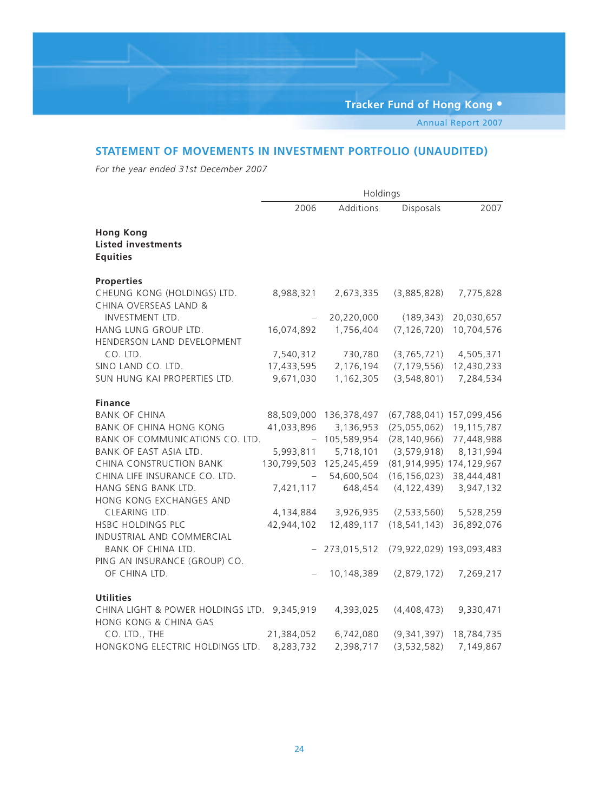Annual Report 2007

# **STATEMENT OF MOVEMENTS IN INVESTMENT PORTFOLIO (UNAUDITED)**

*For the year ended 31st December 2007*

|                                                                      | Holdings   |                         |                         |                             |
|----------------------------------------------------------------------|------------|-------------------------|-------------------------|-----------------------------|
|                                                                      | 2006       | Additions               | Disposals               | 2007                        |
| <b>Hong Kong</b><br><b>Listed investments</b><br><b>Equities</b>     |            |                         |                         |                             |
| <b>Properties</b>                                                    |            |                         |                         |                             |
| CHEUNG KONG (HOLDINGS) LTD.<br>CHINA OVERSEAS LAND &                 | 8,988,321  | 2,673,335               | (3,885,828)             | 7,775,828                   |
| INVESTMENT LTD.                                                      |            | 20,220,000              | (189, 343)              | 20,030,657                  |
| HANG LUNG GROUP LTD.<br>HENDERSON LAND DEVELOPMENT                   | 16,074,892 | 1,756,404               | (7, 126, 720)           | 10,704,576                  |
| CO. LTD.                                                             | 7,540,312  | 730,780                 | (3,765,721)             | 4,505,371                   |
| SINO LAND CO. LTD.                                                   | 17,433,595 | 2,176,194               | (7, 179, 556)           | 12,430,233                  |
| SUN HUNG KAI PROPERTIES LTD.                                         | 9,671,030  | 1,162,305               | (3,548,801)             | 7,284,534                   |
| <b>Finance</b>                                                       |            |                         |                         |                             |
| <b>BANK OF CHINA</b>                                                 |            | 88,509,000 136,378,497  |                         | (67,788,041) 157,099,456    |
| BANK OF CHINA HONG KONG                                              | 41,033,896 | 3,136,953               |                         | $(25,055,062)$ 19,115,787   |
| BANK OF COMMUNICATIONS CO. LTD.                                      | $\equiv$   | 105,589,954             |                         | (28, 140, 966) 77, 448, 988 |
| BANK OF EAST ASIA LTD.                                               | 5,993,811  | 5,718,101               | $(3,579,918)$ 8,131,994 |                             |
| CHINA CONSTRUCTION BANK                                              |            | 130,799,503 125,245,459 |                         | (81,914,995) 174,129,967    |
| CHINA LIFE INSURANCE CO. LTD.                                        | $\sim$ $-$ | 54,600,504              |                         | $(16, 156, 023)$ 38,444,481 |
| HANG SENG BANK LTD.<br>HONG KONG EXCHANGES AND                       | 7,421,117  | 648,454                 | (4, 122, 439)           | 3,947,132                   |
| CLEARING LTD.                                                        | 4,134,884  | 3,926,935               | (2, 533, 560)           | 5,528,259                   |
| HSBC HOLDINGS PLC<br>INDUSTRIAL AND COMMERCIAL                       | 42,944,102 | 12,489,117              | (18, 541, 143)          | 36,892,076                  |
| <b>BANK OF CHINA LTD.</b>                                            |            | $-273,015,512$          |                         | (79,922,029) 193,093,483    |
| PING AN INSURANCE (GROUP) CO.                                        |            |                         |                         |                             |
| OF CHINA LTD.                                                        |            | 10,148,389              | (2,879,172)             | 7,269,217                   |
| <b>Utilities</b>                                                     |            |                         |                         |                             |
| CHINA LIGHT & POWER HOLDINGS LTD. 9,345,919<br>HONG KONG & CHINA GAS |            | 4,393,025               | (4,408,473)             | 9,330,471                   |
| CO. LTD., THE                                                        | 21,384,052 | 6,742,080               | (9,341,397)             | 18,784,735                  |
| HONGKONG ELECTRIC HOLDINGS LTD.                                      | 8,283,732  | 2,398,717               | (3, 532, 582)           | 7,149,867                   |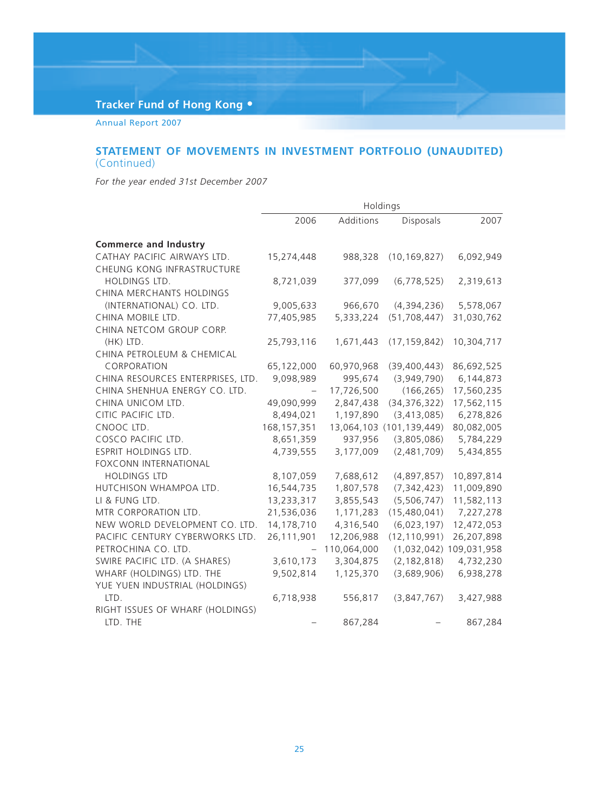## Annual Report 2007

## **STATEMENT OF MOVEMENTS IN INVESTMENT PORTFOLIO (UNAUDITED)** (Continued)

*For the year ended 31st December 2007*

|                                   | Holdings      |             |                          |                           |
|-----------------------------------|---------------|-------------|--------------------------|---------------------------|
|                                   | 2006          | Additions   | Disposals                | 2007                      |
| <b>Commerce and Industry</b>      |               |             |                          |                           |
| CATHAY PACIFIC AIRWAYS LTD.       | 15,274,448    | 988,328     | (10, 169, 827)           | 6,092,949                 |
| CHEUNG KONG INFRASTRUCTURE        |               |             |                          |                           |
| HOLDINGS LTD.                     | 8,721,039     | 377,099     | (6,778,525)              | 2,319,613                 |
| CHINA MERCHANTS HOLDINGS          |               |             |                          |                           |
| (INTERNATIONAL) CO. LTD.          | 9,005,633     | 966,670     | (4,394,236)              | 5,578,067                 |
| CHINA MOBILE LTD.                 | 77,405,985    | 5,333,224   | (51, 708, 447)           | 31,030,762                |
| CHINA NETCOM GROUP CORP.          |               |             |                          |                           |
| (HK) LTD.                         | 25,793,116    | 1,671,443   | (17, 159, 842)           | 10,304,717                |
| CHINA PETROLEUM & CHEMICAL        |               |             |                          |                           |
| CORPORATION                       | 65,122,000    | 60,970,968  | (39, 400, 443)           | 86,692,525                |
| CHINA RESOURCES ENTERPRISES, LTD. | 9,098,989     | 995,674     | (3,949,790)              | 6,144,873                 |
| CHINA SHENHUA ENERGY CO. LTD.     |               | 17,726,500  | (166, 265)               | 17,560,235                |
| CHINA UNICOM LTD.                 | 49,090,999    | 2,847,438   | (34, 376, 322)           | 17,562,115                |
| CITIC PACIFIC LTD.                | 8,494,021     | 1,197,890   | (3,413,085)              | 6,278,826                 |
| CNOOC LTD.                        | 168, 157, 351 |             | 13,064,103 (101,139,449) | 80,082,005                |
| COSCO PACIFIC LTD.                | 8,651,359     | 937,956     | (3,805,086)              | 5,784,229                 |
| ESPRIT HOLDINGS LTD.              | 4,739,555     | 3,177,009   | (2,481,709)              | 5,434,855                 |
| <b>FOXCONN INTERNATIONAL</b>      |               |             |                          |                           |
| <b>HOLDINGS LTD</b>               | 8,107,059     | 7,688,612   | (4,897,857)              | 10,897,814                |
| HUTCHISON WHAMPOA LTD.            | 16,544,735    | 1,807,578   | (7, 342, 423)            | 11,009,890                |
| LI & FUNG LTD.                    | 13,233,317    | 3,855,543   | (5,506,747)              | 11,582,113                |
| MTR CORPORATION LTD.              | 21,536,036    | 1,171,283   | (15,480,041)             | 7,227,278                 |
| NEW WORLD DEVELOPMENT CO. LTD.    | 14,178,710    | 4,316,540   | (6,023,197)              | 12,472,053                |
| PACIFIC CENTURY CYBERWORKS LTD.   | 26,111,901    | 12,206,988  | (12, 110, 991)           | 26,207,898                |
| PETROCHINA CO. LTD.               |               | 110,064,000 |                          | $(1,032,042)$ 109,031,958 |
| SWIRE PACIFIC LTD. (A SHARES)     | 3,610,173     | 3,304,875   | (2, 182, 818)            | 4,732,230                 |
| WHARF (HOLDINGS) LTD. THE         | 9,502,814     | 1,125,370   | (3,689,906)              | 6,938,278                 |
| YUE YUEN INDUSTRIAL (HOLDINGS)    |               |             |                          |                           |
| LTD.                              | 6,718,938     | 556,817     | (3,847,767)              | 3,427,988                 |
| RIGHT ISSUES OF WHARF (HOLDINGS)  |               |             |                          |                           |
| LTD. THE                          |               | 867,284     |                          | 867,284                   |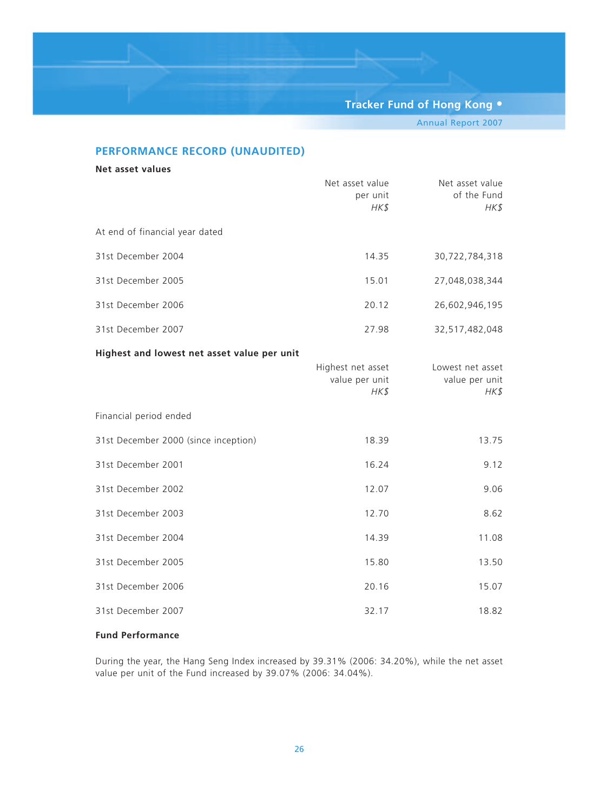Annual Report 2007

# **PERFORMANCE RECORD (UNAUDITED)**

**Net asset values**

|                                             | Net asset value<br>per unit<br>HK\$         | Net asset value<br>of the Fund<br>HK\$     |
|---------------------------------------------|---------------------------------------------|--------------------------------------------|
| At end of financial year dated              |                                             |                                            |
| 31st December 2004                          | 14.35                                       | 30,722,784,318                             |
| 31st December 2005                          | 15.01                                       | 27,048,038,344                             |
| 31st December 2006                          | 20.12                                       | 26,602,946,195                             |
| 31st December 2007                          | 27.98                                       | 32,517,482,048                             |
| Highest and lowest net asset value per unit | Highest net asset<br>value per unit<br>HK\$ | Lowest net asset<br>value per unit<br>HK\$ |
| Financial period ended                      |                                             |                                            |
| 31st December 2000 (since inception)        | 18.39                                       | 13.75                                      |
| 31st December 2001                          | 16.24                                       | 9.12                                       |
| 31st December 2002                          | 12.07                                       | 9.06                                       |
| 31st December 2003                          | 12.70                                       | 8.62                                       |
| 31st December 2004                          | 14.39                                       | 11.08                                      |
| 31st December 2005                          | 15.80                                       | 13.50                                      |
| 31st December 2006                          | 20.16                                       | 15.07                                      |
| 31st December 2007                          | 32.17                                       | 18.82                                      |

## **Fund Performance**

During the year, the Hang Seng Index increased by 39.31% (2006: 34.20%), while the net asset value per unit of the Fund increased by 39.07% (2006: 34.04%).